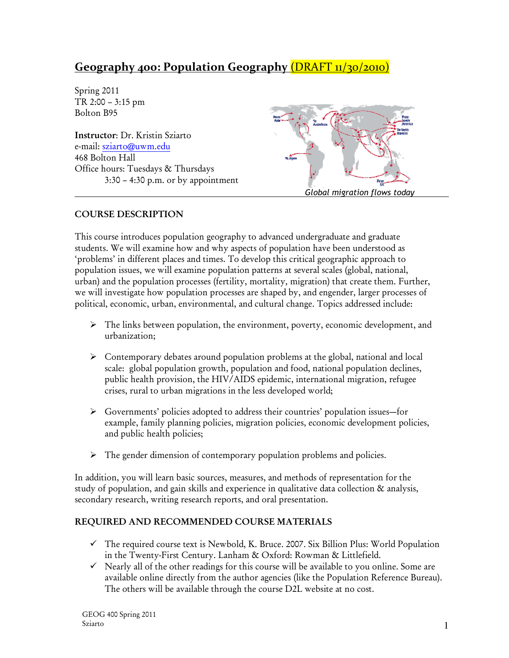# Geography 400: Population Geography (DRAFT 11/30/2010)

Spring 2011 TR 2:00 – 3:15 pm Bolton B95

Instructor: Dr. Kristin Sziarto e-mail: sziarto@uwm.edu 468 Bolton Hall Office hours: Tuesdays & Thursdays 3:30 – 4:30 p.m. or by appointment



# COURSE DESCRIPTION

This course introduces population geography to advanced undergraduate and graduate students. We will examine how and why aspects of population have been understood as 'problems' in different places and times. To develop this critical geographic approach to population issues, we will examine population patterns at several scales (global, national, urban) and the population processes (fertility, mortality, migration) that create them. Further, we will investigate how population processes are shaped by, and engender, larger processes of political, economic, urban, environmental, and cultural change. Topics addressed include:

- $\triangleright$  The links between population, the environment, poverty, economic development, and urbanization;
- $\triangleright$  Contemporary debates around population problems at the global, national and local scale: global population growth, population and food, national population declines, public health provision, the HIV/AIDS epidemic, international migration, refugee crises, rural to urban migrations in the less developed world;
- Governments' policies adopted to address their countries' population issues—for example, family planning policies, migration policies, economic development policies, and public health policies;
- $\triangleright$  The gender dimension of contemporary population problems and policies.

In addition, you will learn basic sources, measures, and methods of representation for the study of population, and gain skills and experience in qualitative data collection & analysis, secondary research, writing research reports, and oral presentation.

# REQUIRED AND RECOMMENDED COURSE MATERIALS

- The required course text is Newbold, K. Bruce. 2007. Six Billion Plus: World Population in the Twenty-First Century. Lanham & Oxford: Rowman & Littlefield.
- Nearly all of the other readings for this course will be available to you online. Some are available online directly from the author agencies (like the Population Reference Bureau). The others will be available through the course D2L website at no cost.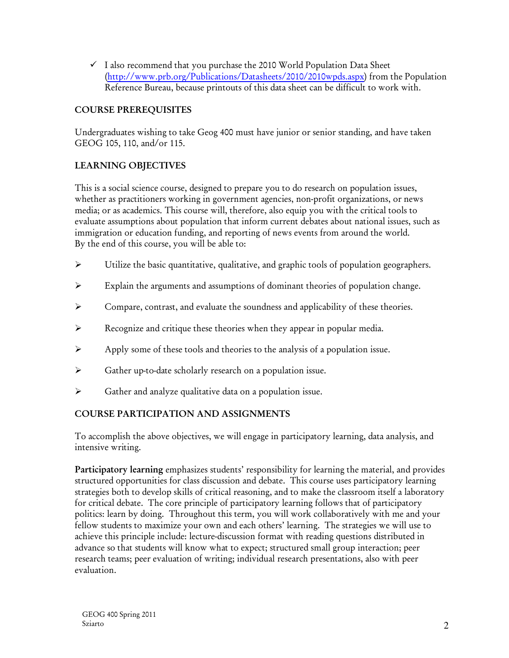- I also recommend that you purchase the 2010 World Population Data Sheet (http://www.prb.org/Publications/Datasheets/2010/2010wpds.aspx) from the Population Reference Bureau, because printouts of this data sheet can be difficult to work with.

# COURSE PREREQUISITES

Undergraduates wishing to take Geog 400 must have junior or senior standing, and have taken GEOG 105, 110, and/or 115.

### LEARNING OBJECTIVES

This is a social science course, designed to prepare you to do research on population issues, whether as practitioners working in government agencies, non-profit organizations, or news media; or as academics. This course will, therefore, also equip you with the critical tools to evaluate assumptions about population that inform current debates about national issues, such as immigration or education funding, and reporting of news events from around the world. By the end of this course, you will be able to:

- Utilize the basic quantitative, qualitative, and graphic tools of population geographers.
- Explain the arguments and assumptions of dominant theories of population change.
- $\triangleright$  Compare, contrast, and evaluate the soundness and applicability of these theories.
- $\triangleright$  Recognize and critique these theories when they appear in popular media.
- $\triangleright$  Apply some of these tools and theories to the analysis of a population issue.
- Gather up-to-date scholarly research on a population issue.
- $\triangleright$  Gather and analyze qualitative data on a population issue.

# COURSE PARTICIPATION AND ASSIGNMENTS

To accomplish the above objectives, we will engage in participatory learning, data analysis, and intensive writing.

Participatory learning emphasizes students' responsibility for learning the material, and provides structured opportunities for class discussion and debate. This course uses participatory learning strategies both to develop skills of critical reasoning, and to make the classroom itself a laboratory for critical debate. The core principle of participatory learning follows that of participatory politics: learn by doing. Throughout this term, you will work collaboratively with me and your fellow students to maximize your own and each others' learning. The strategies we will use to achieve this principle include: lecture-discussion format with reading questions distributed in advance so that students will know what to expect; structured small group interaction; peer research teams; peer evaluation of writing; individual research presentations, also with peer evaluation.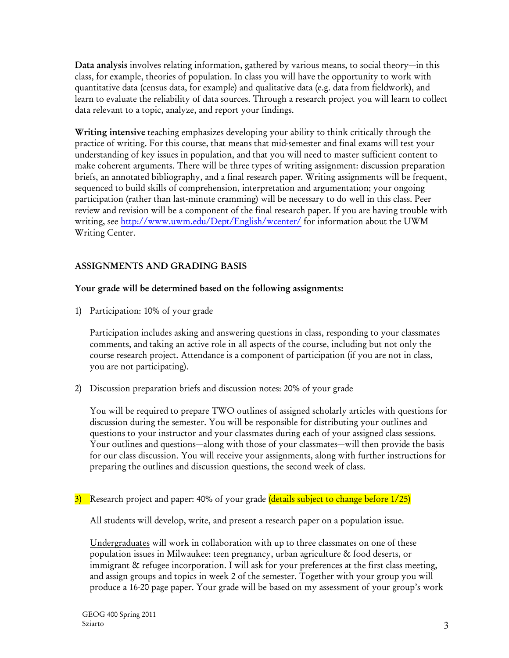Data analysis involves relating information, gathered by various means, to social theory—in this class, for example, theories of population. In class you will have the opportunity to work with quantitative data (census data, for example) and qualitative data (e.g. data from fieldwork), and learn to evaluate the reliability of data sources. Through a research project you will learn to collect data relevant to a topic, analyze, and report your findings.

Writing intensive teaching emphasizes developing your ability to think critically through the practice of writing. For this course, that means that mid-semester and final exams will test your understanding of key issues in population, and that you will need to master sufficient content to make coherent arguments. There will be three types of writing assignment: discussion preparation briefs, an annotated bibliography, and a final research paper. Writing assignments will be frequent, sequenced to build skills of comprehension, interpretation and argumentation; your ongoing participation (rather than last-minute cramming) will be necessary to do well in this class. Peer review and revision will be a component of the final research paper. If you are having trouble with writing, see http://www.uwm.edu/Dept/English/wcenter/ for information about the UWM Writing Center.

# ASSIGNMENTS AND GRADING BASIS

### Your grade will be determined based on the following assignments:

1) Participation: 10% of your grade

Participation includes asking and answering questions in class, responding to your classmates comments, and taking an active role in all aspects of the course, including but not only the course research project. Attendance is a component of participation (if you are not in class, you are not participating).

2) Discussion preparation briefs and discussion notes: 20% of your grade

You will be required to prepare TWO outlines of assigned scholarly articles with questions for discussion during the semester. You will be responsible for distributing your outlines and questions to your instructor and your classmates during each of your assigned class sessions. Your outlines and questions—along with those of your classmates—will then provide the basis for our class discussion. You will receive your assignments, along with further instructions for preparing the outlines and discussion questions, the second week of class.

3) Research project and paper: 40% of your grade (details subject to change before 1/25)

All students will develop, write, and present a research paper on a population issue.

Undergraduates will work in collaboration with up to three classmates on one of these population issues in Milwaukee: teen pregnancy, urban agriculture & food deserts, or immigrant & refugee incorporation. I will ask for your preferences at the first class meeting, and assign groups and topics in week 2 of the semester. Together with your group you will produce a 16-20 page paper. Your grade will be based on my assessment of your group's work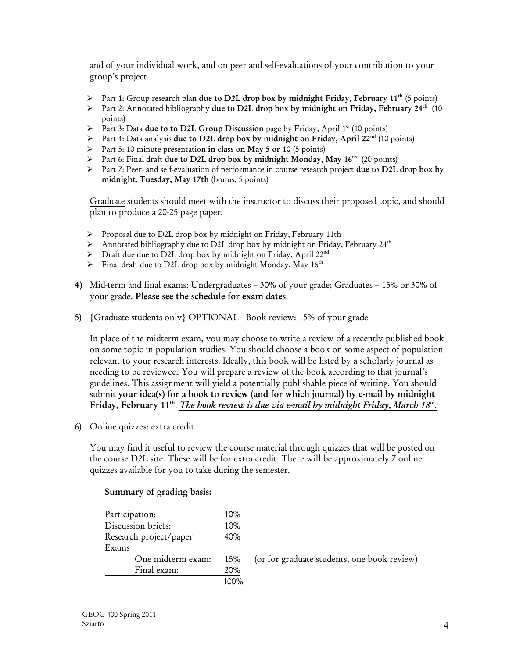and of your individual work, and on peer and self-evaluations of your contribution to your group's project.

- Part 1: Group research plan due to D2L drop box by midnight Friday, February 11<sup>th</sup> (5 points)
- Part 2: Annotated bibliography due to D2L drop box by midnight on Friday, February 24<sup>th</sup> (10 points)
- $\triangleright$  Part 3: Data due to to D2L Group Discussion page by Friday, April 1<sup>st</sup> (10 points)
- Part 4: Data analysis due to D2L drop box by midnight on Friday, April 22<sup>nd</sup> (10 points)
- Part 5: 10-minute presentation in class on May 5 or 10 (5 points)
- Part 6: Final draft due to D2L drop box by midnight Monday, May  $16^{th}$  (20 points)
- $\triangleright$  Part 7: Peer- and self-evaluation of performance in course research project due to D2L drop box by midnight, Tuesday, May 17th (bonus, 5 points)

Graduate students should meet with the instructor to discuss their proposed topic, and should plan to produce a 20-25 page paper.

- $\triangleright$  Proposal due to D2L drop box by midnight on Friday, February 11th
- Annotated bibliography due to D2L drop box by midnight on Friday, February  $24^{\text{th}}$
- $\triangleright$  Draft due due to D2L drop box by midnight on Friday, April 22<sup>nd</sup>
- $\triangleright$  Final draft due to D2L drop box by midnight Monday, May 16<sup>th</sup>
- 4) Mid-term and final exams: Undergraduates 30% of your grade; Graduates 15% or 30% of your grade. Please see the schedule for exam dates.
- 5) {Graduate students only} OPTIONAL Book review: 15% of your grade

In place of the midterm exam, you may choose to write a review of a recently published book on some topic in population studies. You should choose a book on some aspect of population relevant to your research interests. Ideally, this book will be listed by a scholarly journal as needing to be reviewed. You will prepare a review of the book according to that journal's guidelines. This assignment will yield a potentially publishable piece of writing. You should submit your idea(s) for a book to review (and for which journal) by e-mail by midnight Friday, February 11<sup>th</sup>. *The book review is due via e-mail by midnight Friday, March 18<sup>th</sup>.* 

6) Online quizzes: extra credit

You may find it useful to review the course material through quizzes that will be posted on the course D2L site. These will be for extra credit. There will be approximately 7 online quizzes available for you to take during the semester.

### Summary of grading basis:

| Participation:         | 10%  |
|------------------------|------|
| Discussion briefs:     | 10%  |
| Research project/paper | 40%  |
| Exams                  |      |
| One midterm exam:      | 15%  |
| Final exam:            | 20%  |
|                        | 100% |

(or for graduate students, one book review)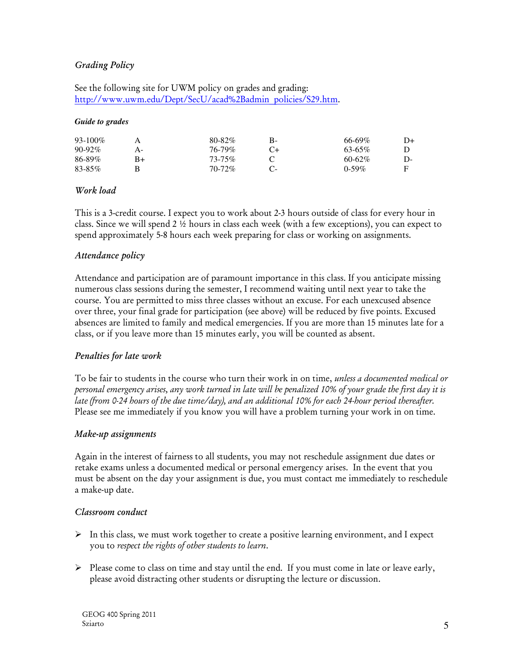### Grading Policy

See the following site for UWM policy on grades and grading: http://www.uwm.edu/Dept/SecU/acad%2Badmin\_policies/S29.htm.

#### *Guide to grades*

| $93-100\%$  |      | $80 - 82\%$ | В- | $66 - 69\%$ | D+ |
|-------------|------|-------------|----|-------------|----|
| $90 - 92\%$ | А-   | 76-79%      |    | $63 - 65\%$ |    |
| 86-89%      | $B+$ | $73 - 75\%$ |    | $60-62\%$   | D- |
| 83-85%      |      | $70 - 72\%$ |    | $0-59%$     |    |

### Work load

This is a 3-credit course. I expect you to work about 2-3 hours outside of class for every hour in class. Since we will spend 2 ½ hours in class each week (with a few exceptions), you can expect to spend approximately 5-8 hours each week preparing for class or working on assignments.

### Attendance policy

Attendance and participation are of paramount importance in this class. If you anticipate missing numerous class sessions during the semester, I recommend waiting until next year to take the course. You are permitted to miss three classes without an excuse. For each unexcused absence over three, your final grade for participation (see above) will be reduced by five points. Excused absences are limited to family and medical emergencies. If you are more than 15 minutes late for a class, or if you leave more than 15 minutes early, you will be counted as absent.

### Penalties for late work

To be fair to students in the course who turn their work in on time, unless a documented medical or personal emergency arises, any work turned in late will be penalized 10% of your grade the first day it is late (from 0-24 hours of the due time/day), and an additional 10% for each 24-hour period thereafter. Please see me immediately if you know you will have a problem turning your work in on time.

#### Make-up assignments

Again in the interest of fairness to all students, you may not reschedule assignment due dates or retake exams unless a documented medical or personal emergency arises. In the event that you must be absent on the day your assignment is due, you must contact me immediately to reschedule a make-up date.

#### Classroom conduct

- $\triangleright$  In this class, we must work together to create a positive learning environment, and I expect you to respect the rights of other students to learn.
- $\triangleright$  Please come to class on time and stay until the end. If you must come in late or leave early, please avoid distracting other students or disrupting the lecture or discussion.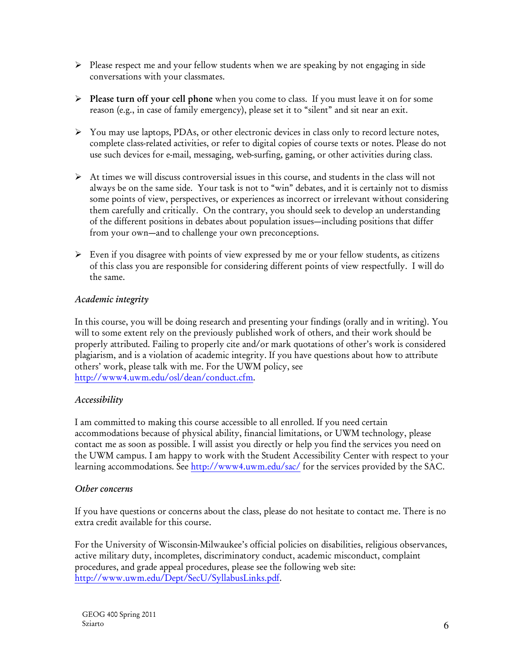- $\triangleright$  Please respect me and your fellow students when we are speaking by not engaging in side conversations with your classmates.
- $\triangleright$  Please turn off your cell phone when you come to class. If you must leave it on for some reason (e.g., in case of family emergency), please set it to "silent" and sit near an exit.
- You may use laptops, PDAs, or other electronic devices in class only to record lecture notes, complete class-related activities, or refer to digital copies of course texts or notes. Please do not use such devices for e-mail, messaging, web-surfing, gaming, or other activities during class.
- $\triangleright$  At times we will discuss controversial issues in this course, and students in the class will not always be on the same side. Your task is not to "win" debates, and it is certainly not to dismiss some points of view, perspectives, or experiences as incorrect or irrelevant without considering them carefully and critically. On the contrary, you should seek to develop an understanding of the different positions in debates about population issues—including positions that differ from your own—and to challenge your own preconceptions.
- $\triangleright$  Even if you disagree with points of view expressed by me or your fellow students, as citizens of this class you are responsible for considering different points of view respectfully. I will do the same.

# Academic integrity

In this course, you will be doing research and presenting your findings (orally and in writing). You will to some extent rely on the previously published work of others, and their work should be properly attributed. Failing to properly cite and/or mark quotations of other's work is considered plagiarism, and is a violation of academic integrity. If you have questions about how to attribute others' work, please talk with me. For the UWM policy, see http://www4.uwm.edu/osl/dean/conduct.cfm.

# Accessibility

I am committed to making this course accessible to all enrolled. If you need certain accommodations because of physical ability, financial limitations, or UWM technology, please contact me as soon as possible. I will assist you directly or help you find the services you need on the UWM campus. I am happy to work with the Student Accessibility Center with respect to your learning accommodations. See http://www4.uwm.edu/sac/ for the services provided by the SAC.

# Other concerns

If you have questions or concerns about the class, please do not hesitate to contact me. There is no extra credit available for this course.

For the University of Wisconsin-Milwaukee's official policies on disabilities, religious observances, active military duty, incompletes, discriminatory conduct, academic misconduct, complaint procedures, and grade appeal procedures, please see the following web site: http://www.uwm.edu/Dept/SecU/SyllabusLinks.pdf.